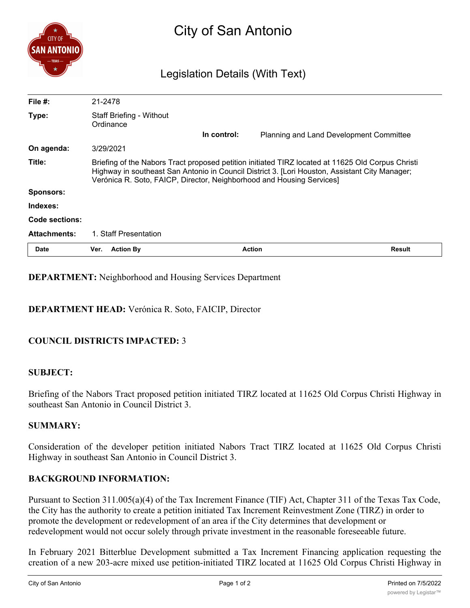| <b>CITY OF</b>      | City of San Antonio                                                                                                                                                                                                                                                          |             |                                         |               |
|---------------------|------------------------------------------------------------------------------------------------------------------------------------------------------------------------------------------------------------------------------------------------------------------------------|-------------|-----------------------------------------|---------------|
| - TEXAS -           | Legislation Details (With Text)                                                                                                                                                                                                                                              |             |                                         |               |
| File $#$ :          | 21-2478                                                                                                                                                                                                                                                                      |             |                                         |               |
| Type:               | <b>Staff Briefing - Without</b><br>Ordinance                                                                                                                                                                                                                                 |             |                                         |               |
|                     |                                                                                                                                                                                                                                                                              | In control: | Planning and Land Development Committee |               |
| On agenda:          | 3/29/2021                                                                                                                                                                                                                                                                    |             |                                         |               |
| Title:              | Briefing of the Nabors Tract proposed petition initiated TIRZ located at 11625 Old Corpus Christi<br>Highway in southeast San Antonio in Council District 3. [Lori Houston, Assistant City Manager;<br>Verónica R. Soto, FAICP, Director, Neighborhood and Housing Services] |             |                                         |               |
| Sponsors:           |                                                                                                                                                                                                                                                                              |             |                                         |               |
| Indexes:            |                                                                                                                                                                                                                                                                              |             |                                         |               |
| Code sections:      |                                                                                                                                                                                                                                                                              |             |                                         |               |
| <b>Attachments:</b> | 1. Staff Presentation                                                                                                                                                                                                                                                        |             |                                         |               |
| <b>Date</b>         | <b>Action By</b><br>Ver.                                                                                                                                                                                                                                                     |             | <b>Action</b>                           | <b>Result</b> |

### **DEPARTMENT:** Neighborhood and Housing Services Department

### **DEPARTMENT HEAD:** Verónica R. Soto, FAICIP, Director

# **COUNCIL DISTRICTS IMPACTED:** 3

#### **SUBJECT:**

Briefing of the Nabors Tract proposed petition initiated TIRZ located at 11625 Old Corpus Christi Highway in southeast San Antonio in Council District 3.

#### **SUMMARY:**

Consideration of the developer petition initiated Nabors Tract TIRZ located at 11625 Old Corpus Christi Highway in southeast San Antonio in Council District 3.

#### **BACKGROUND INFORMATION:**

Pursuant to Section 311.005(a)(4) of the Tax Increment Finance (TIF) Act, Chapter 311 of the Texas Tax Code, the City has the authority to create a petition initiated Tax Increment Reinvestment Zone (TIRZ) in order to promote the development or redevelopment of an area if the City determines that development or redevelopment would not occur solely through private investment in the reasonable foreseeable future.

In February 2021 Bitterblue Development submitted a Tax Increment Financing application requesting the creation of a new 203-acre mixed use petition-initiated TIRZ located at 11625 Old Corpus Christi Highway in